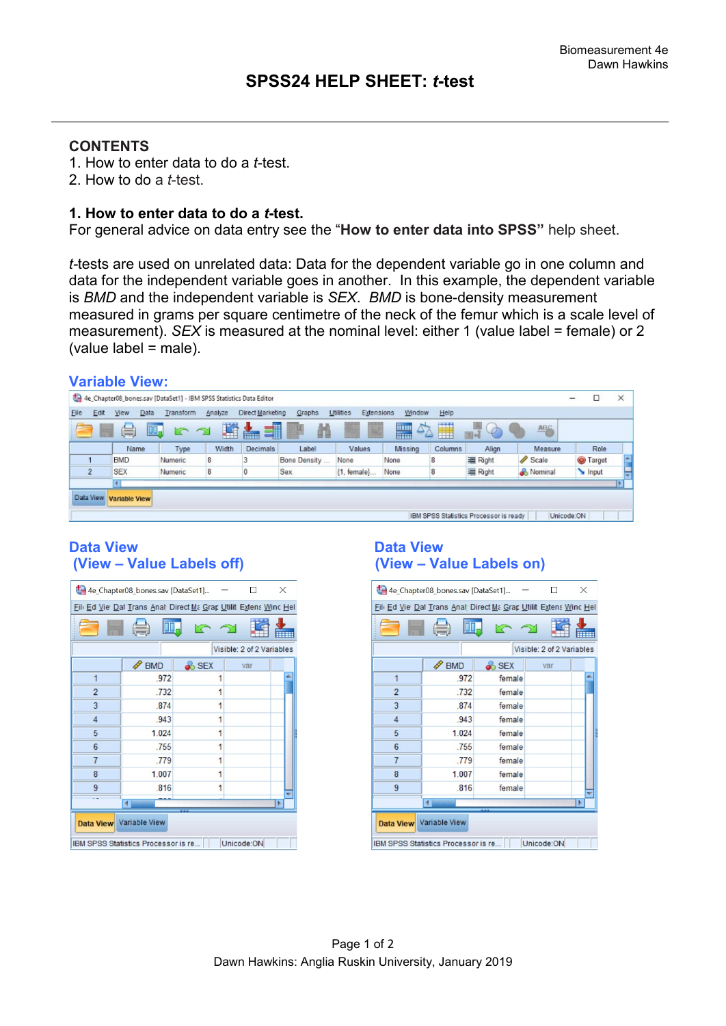## **CONTENTS**

- 1. How to enter data to do a *t*-test.
- 2. How to do a *t*-test.

#### **1. How to enter data to do a** *t***-test.**

For general advice on data entry see the "**How to enter data into SPSS"** help sheet.

*t-*tests are used on unrelated data: Data for the dependent variable go in one column and data for the independent variable goes in another. In this example, the dependent variable is *BMD* and the independent variable is *SEX*. *BMD* is bone-density measurement measured in grams per square centimetre of the neck of the femur which is a scale level of measurement). *SEX* is measured at the nominal level: either 1 (value label = female) or 2 (value label = male).

|                                                                     | <b>Variable View:</b>                                                                                      |                         |           |         |                  |              |                         |         |         |         |         |   |               |  |
|---------------------------------------------------------------------|------------------------------------------------------------------------------------------------------------|-------------------------|-----------|---------|------------------|--------------|-------------------------|---------|---------|---------|---------|---|---------------|--|
| 4e_Chapter08_bones.sav [DataSet1] - IBM SPSS Statistics Data Editor |                                                                                                            |                         |           |         |                  |              |                         |         |         |         |         | □ | $\times$      |  |
| Elle                                                                | Edit                                                                                                       | Data<br><b>View</b>     | Transform | Analyze | Direct Marketing | Graphs       | Utilities<br>Extensions | Window  | Help    |         |         |   |               |  |
|                                                                     | Ħ<br>璫<br>$\frac{1}{4}$<br>47<br>ᡜ<br><b>THEF</b><br><b>416</b><br>$\varphi$<br>暠<br>w.<br>Ħ<br>i.<br>limi |                         |           |         |                  |              |                         |         |         |         |         |   |               |  |
|                                                                     |                                                                                                            | Name                    | Type      | Width   | Decimals         | Label        | Values                  | Missing | Columns | Align   | Measure |   | Role          |  |
|                                                                     |                                                                                                            | <b>BMD</b>              | Numeric   | 8       |                  | Bone Density | None                    | None    | 8       | 三 Right | Scale   |   | <b>Target</b> |  |
|                                                                     | $\overline{2}$                                                                                             | <b>SEX</b>              | Numeric   | 8       | 0                | Sex          | {1, female}             | None    | 8       | 三 Right | Nominal |   | Input         |  |
|                                                                     |                                                                                                            | $\blacktriangleleft$    |           |         |                  |              |                         |         |         |         |         |   |               |  |
|                                                                     |                                                                                                            | Data View Variable View |           |         |                  |              |                         |         |         |         |         |   |               |  |
|                                                                     |                                                                                                            |                         |           |         |                  |              |                         |         |         |         |         |   |               |  |
|                                                                     | Unicode:ON<br>IBM SPSS Statistics Processor is ready                                                       |                         |           |         |                  |              |                         |         |         |         |         |   |               |  |

### **Data View Data View (View – Value Labels off) (View – Value Labels on)**

| 4e_Chapter08_bones.sav [DataSet1]<br>$\times$                    |                                     |                  |            |  |  |  |  |  |  |  |  |
|------------------------------------------------------------------|-------------------------------------|------------------|------------|--|--|--|--|--|--|--|--|
| Fill Ed Vie Dat Trans Anal Direct Ma Grap Utilit Extens Winc Hel |                                     |                  |            |  |  |  |  |  |  |  |  |
| M                                                                |                                     |                  |            |  |  |  |  |  |  |  |  |
| Visible: 2 of 2 Variables                                        |                                     |                  |            |  |  |  |  |  |  |  |  |
|                                                                  | <b>BMD</b>                          | <b>&amp;</b> SEX | var        |  |  |  |  |  |  |  |  |
| 1                                                                | .972                                | 1                |            |  |  |  |  |  |  |  |  |
| $\overline{2}$                                                   | .732                                |                  |            |  |  |  |  |  |  |  |  |
| 3                                                                | .874                                | 1                |            |  |  |  |  |  |  |  |  |
| $\overline{4}$                                                   | .943                                | 1                |            |  |  |  |  |  |  |  |  |
| 5                                                                | 1.024                               |                  |            |  |  |  |  |  |  |  |  |
| $6\phantom{1}$                                                   | .755                                |                  |            |  |  |  |  |  |  |  |  |
| $\overline{7}$                                                   | .779                                | 1                |            |  |  |  |  |  |  |  |  |
| 8                                                                | 1.007                               |                  |            |  |  |  |  |  |  |  |  |
| 9                                                                | .816                                |                  |            |  |  |  |  |  |  |  |  |
|                                                                  |                                     |                  |            |  |  |  |  |  |  |  |  |
| Data View Variable View                                          |                                     |                  |            |  |  |  |  |  |  |  |  |
|                                                                  | IBM SPSS Statistics Processor is re |                  | Unicode:ON |  |  |  |  |  |  |  |  |

| 4e Chapter08 bones.sav [DataSet1]<br>$\times$                                |                 |                  |                           |  |  |  |  |  |  |  |  |
|------------------------------------------------------------------------------|-----------------|------------------|---------------------------|--|--|--|--|--|--|--|--|
| Fill Ed Vie Dat Trans Anal Direct Ma Grap Utilit Extens Winc Hel             |                 |                  |                           |  |  |  |  |  |  |  |  |
| M                                                                            |                 |                  |                           |  |  |  |  |  |  |  |  |
|                                                                              |                 |                  | Visible: 2 of 2 Variables |  |  |  |  |  |  |  |  |
|                                                                              | <b>BMD</b><br>P | <b>&amp;</b> SEX | var                       |  |  |  |  |  |  |  |  |
| 1                                                                            | .972            | female           |                           |  |  |  |  |  |  |  |  |
| $\overline{2}$                                                               | .732            | female           |                           |  |  |  |  |  |  |  |  |
| 3                                                                            | .874            | female           |                           |  |  |  |  |  |  |  |  |
| $\overline{4}$                                                               | 943             | female           |                           |  |  |  |  |  |  |  |  |
| 5                                                                            | 1.024           | female           |                           |  |  |  |  |  |  |  |  |
| $6\phantom{1}6$                                                              | .755            | female           |                           |  |  |  |  |  |  |  |  |
| $\overline{7}$                                                               | .779            | female           |                           |  |  |  |  |  |  |  |  |
| 8                                                                            | 1.007           | female           |                           |  |  |  |  |  |  |  |  |
| 9                                                                            | .816            | female           |                           |  |  |  |  |  |  |  |  |
|                                                                              |                 |                  |                           |  |  |  |  |  |  |  |  |
| Data View Variable View<br>Unicode:ON<br>IBM SPSS Statistics Processor is re |                 |                  |                           |  |  |  |  |  |  |  |  |